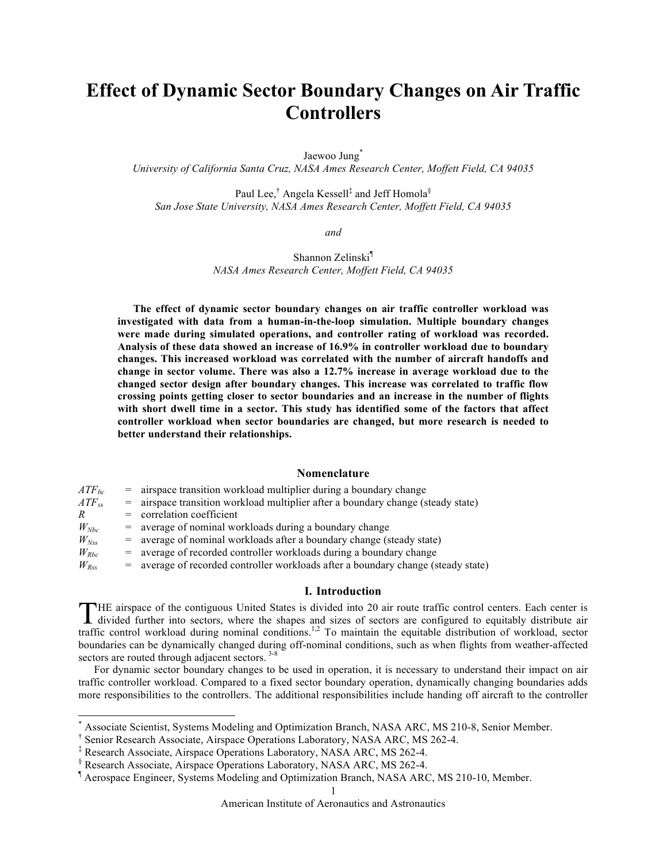# **Effect of Dynamic Sector Boundary Changes on Air Traffic Controllers**

Jaewoo Jung<sup>\*</sup>

*University of California Santa Cruz, NASA Ames Research Center, Moffett Field, CA 94035*

Paul Lee,<sup>†</sup> Angela Kessell‡ and Jeff Homola<sup>§</sup> *San Jose State University, NASA Ames Research Center, Moffett Field, CA 94035*

*and*

Shannon Zelinski¶ *NASA Ames Research Center, Moffett Field, CA 94035*

**The effect of dynamic sector boundary changes on air traffic controller workload was investigated with data from a human-in-the-loop simulation. Multiple boundary changes were made during simulated operations, and controller rating of workload was recorded. Analysis of these data showed an increase of 16.9% in controller workload due to boundary changes. This increased workload was correlated with the number of aircraft handoffs and change in sector volume. There was also a 12.7% increase in average workload due to the changed sector design after boundary changes. This increase was correlated to traffic flow crossing points getting closer to sector boundaries and an increase in the number of flights with short dwell time in a sector. This study has identified some of the factors that affect controller workload when sector boundaries are changed, but more research is needed to better understand their relationships.**

### **Nomenclature**

| $ATF_{bc}$    | $=$ airspace transition workload multiplier during a boundary change                |
|---------------|-------------------------------------------------------------------------------------|
| $ATF_{ss}$    | $=$ airspace transition workload multiplier after a boundary change (steady state)  |
| $\mathcal{R}$ | $=$ correlation coefficient                                                         |
| $W_{Nbc}$     | = average of nominal workloads during a boundary change                             |
| $W_{Nss}$     | $=$ average of nominal workloads after a boundary change (steady state)             |
| $W_{Rbc}$     | $=$ average of recorded controller workloads during a boundary change               |
| $W_{Rss}$     | $=$ average of recorded controller workloads after a boundary change (steady state) |
|               |                                                                                     |

# **I. Introduction**

HE airspace of the contiguous United States is divided into 20 air route traffic control centers. Each center is THE airspace of the contiguous United States is divided into 20 air route traffic control centers. Each center is divided further into sectors, where the shapes and sizes of sectors are configured to equitably distribute a traffic control workload during nominal conditions.1,2 To maintain the equitable distribution of workload, sector boundaries can be dynamically changed during off-nominal conditions, such as when flights from weather-affected sectors are routed through adjacent sectors.<sup>3-8</sup>

For dynamic sector boundary changes to be used in operation, it is necessary to understand their impact on air traffic controller workload. Compared to a fixed sector boundary operation, dynamically changing boundaries adds more responsibilities to the controllers. The additional responsibilities include handing off aircraft to the controller

<sup>\*&</sup>lt;br>Associate Scientist, Systems Modeling and Optimization Branch, NASA ARC, MS 210-8, Senior Member.

<sup>†</sup> Senior Research Associate, Airspace Operations Laboratory, NASA ARC, MS 262-4.

<sup>‡</sup> Research Associate, Airspace Operations Laboratory, NASA ARC, MS 262-4.

<sup>§</sup> Research Associate, Airspace Operations Laboratory, NASA ARC, MS 262-4.

<sup>¶</sup> Aerospace Engineer, Systems Modeling and Optimization Branch, NASA ARC, MS 210-10, Member.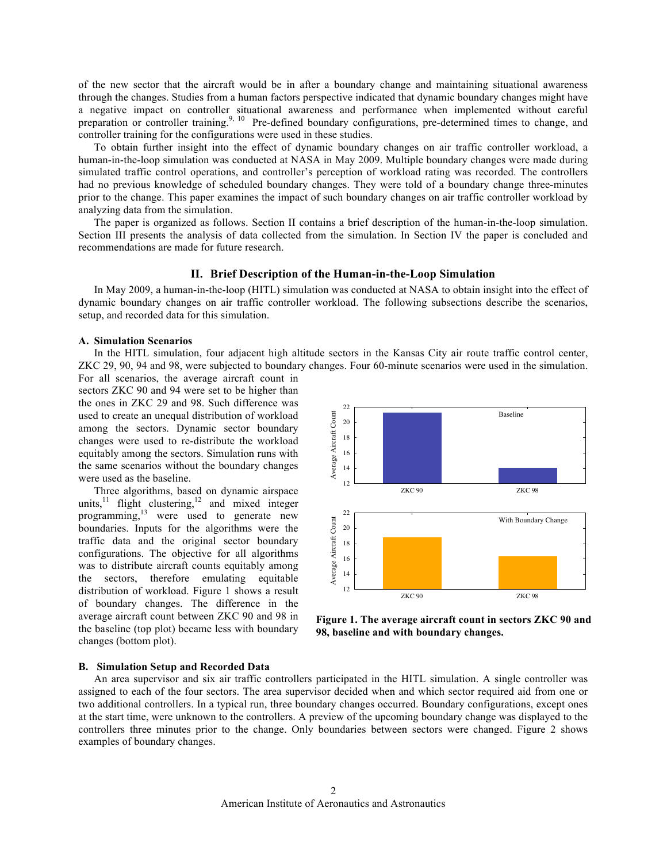of the new sector that the aircraft would be in after a boundary change and maintaining situational awareness through the changes. Studies from a human factors perspective indicated that dynamic boundary changes might have a negative impact on controller situational awareness and performance when implemented without careful preparation or controller training.<sup>9, 10</sup> Pre-defined boundary configurations, pre-determined times to change, and controller training for the configurations were used in these studies.

To obtain further insight into the effect of dynamic boundary changes on air traffic controller workload, a human-in-the-loop simulation was conducted at NASA in May 2009. Multiple boundary changes were made during simulated traffic control operations, and controller's perception of workload rating was recorded. The controllers had no previous knowledge of scheduled boundary changes. They were told of a boundary change three-minutes prior to the change. This paper examines the impact of such boundary changes on air traffic controller workload by analyzing data from the simulation.

The paper is organized as follows. Section II contains a brief description of the human-in-the-loop simulation. Section III presents the analysis of data collected from the simulation. In Section IV the paper is concluded and recommendations are made for future research.

# **II. Brief Description of the Human-in-the-Loop Simulation**

In May 2009, a human-in-the-loop (HITL) simulation was conducted at NASA to obtain insight into the effect of dynamic boundary changes on air traffic controller workload. The following subsections describe the scenarios, setup, and recorded data for this simulation.

# **A. Simulation Scenarios**

In the HITL simulation, four adjacent high altitude sectors in the Kansas City air route traffic control center, ZKC 29, 90, 94 and 98, were subjected to boundary changes. Four 60-minute scenarios were used in the simulation.

For all scenarios, the average aircraft count in sectors ZKC 90 and 94 were set to be higher than the ones in ZKC 29 and 98. Such difference was used to create an unequal distribution of workload among the sectors. Dynamic sector boundary changes were used to re-distribute the workload equitably among the sectors. Simulation runs with the same scenarios without the boundary changes were used as the baseline.

Three algorithms, based on dynamic airspace units, $11$  flight clustering, $12$  and mixed integer programming,13 were used to generate new boundaries. Inputs for the algorithms were the traffic data and the original sector boundary configurations. The objective for all algorithms was to distribute aircraft counts equitably among the sectors, therefore emulating equitable distribution of workload. Figure 1 shows a result of boundary changes. The difference in the average aircraft count between ZKC 90 and 98 in the baseline (top plot) became less with boundary changes (bottom plot).



**Figure 1. The average aircraft count in sectors ZKC 90 and 98, baseline and with boundary changes.**

# **B. Simulation Setup and Recorded Data**

An area supervisor and six air traffic controllers participated in the HITL simulation. A single controller was assigned to each of the four sectors. The area supervisor decided when and which sector required aid from one or two additional controllers. In a typical run, three boundary changes occurred. Boundary configurations, except ones at the start time, were unknown to the controllers. A preview of the upcoming boundary change was displayed to the controllers three minutes prior to the change. Only boundaries between sectors were changed. Figure 2 shows examples of boundary changes.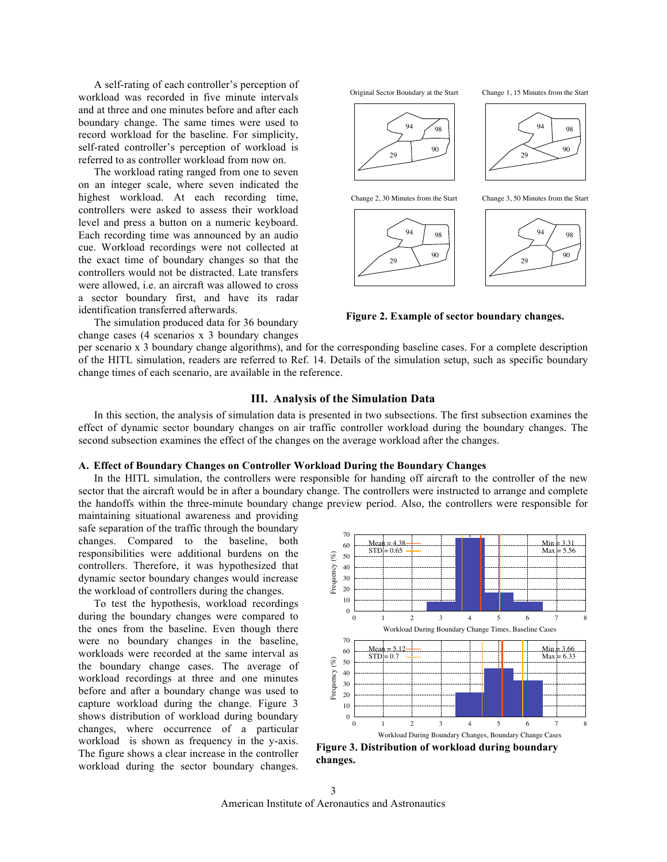A self-rating of each controller's perception of workload was recorded in five minute intervals and at three and one minutes before and after each boundary change. The same times were used to record workload for the baseline. For simplicity, self-rated controller's perception of workload is referred to as controller workload from now on.

The workload rating ranged from one to seven on an integer scale, where seven indicated the highest workload. At each recording time, controllers were asked to assess their workload level and press a button on a numeric keyboard. Each recording time was announced by an audio cue. Workload recordings were not collected at the exact time of boundary changes so that the controllers would not be distracted. Late transfers were allowed, i.e. an aircraft was allowed to cross a sector boundary first, and have its radar identification transferred afterwards.

The simulation produced data for 36 boundary change cases (4 scenarios x 3 boundary changes



**Figure 2. Example of sector boundary changes.**

per scenario x 3 boundary change algorithms), and for the corresponding baseline cases. For a complete description of the HITL simulation, readers are referred to Ref. 14. Details of the simulation setup, such as specific boundary change times of each scenario, are available in the reference.

# **III. Analysis of the Simulation Data**

In this section, the analysis of simulation data is presented in two subsections. The first subsection examines the effect of dynamic sector boundary changes on air traffic controller workload during the boundary changes. The second subsection examines the effect of the changes on the average workload after the changes.

# **A. Effect of Boundary Changes on Controller Workload During the Boundary Changes**

In the HITL simulation, the controllers were responsible for handing off aircraft to the controller of the new sector that the aircraft would be in after a boundary change. The controllers were instructed to arrange and complete the handoffs within the three-minute boundary change preview period. Also, the controllers were responsible for

maintaining situational awareness and providing safe separation of the traffic through the boundary changes. Compared to the baseline, both responsibilities were additional burdens on the controllers. Therefore, it was hypothesized that dynamic sector boundary changes would increase the workload of controllers during the changes.

To test the hypothesis, workload recordings during the boundary changes were compared to the ones from the baseline. Even though there were no boundary changes in the baseline, workloads were recorded at the same interval as the boundary change cases. The average of workload recordings at three and one minutes before and after a boundary change was used to capture workload during the change. Figure 3 shows distribution of workload during boundary changes, where occurrence of a particular workload is shown as frequency in the y-axis. The figure shows a clear increase in the controller workload during the sector boundary changes.



**Figure 3. Distribution of workload during boundary changes.**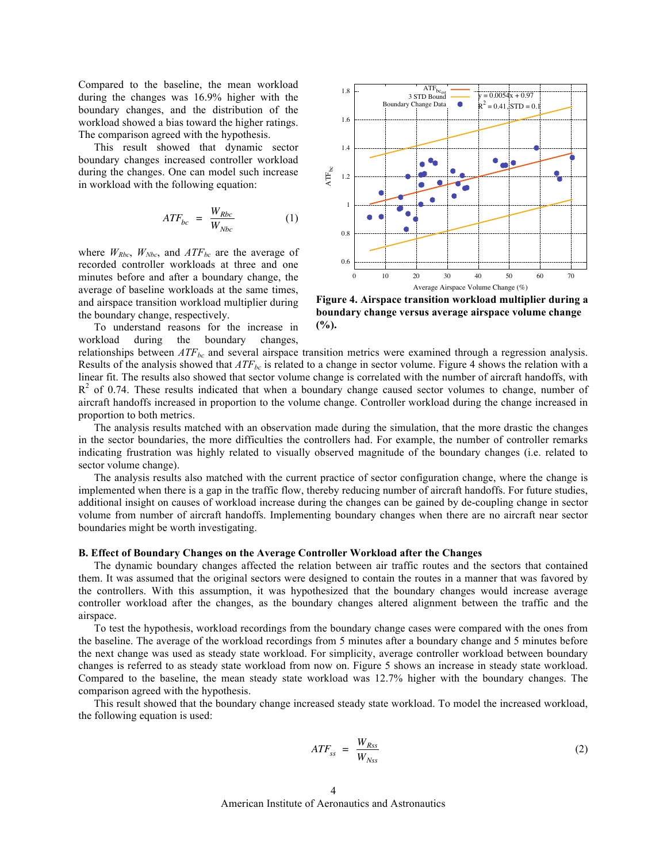Compared to the baseline, the mean workload during the changes was 16.9% higher with the boundary changes, and the distribution of the workload showed a bias toward the higher ratings. The comparison agreed with the hypothesis.

This result showed that dynamic sector boundary changes increased controller workload during the changes. One can model such increase in workload with the following equation:

$$
ATF_{bc} = \frac{W_{Rbc}}{W_{Nbc}} \tag{1}
$$

minutes before and after a boundary change, the where  $W_{Rbc}$ ,  $W_{Nbc}$ , and  $ATF_{bc}$  are the average of recorded controller workloads at three and one average of baseline workloads at the same times, and airspace transition workload multiplier during the boundary change, respectively.

To understand reasons for the increase in workload during the boundary changes,



**Figure 4. Airspace transition workload multiplier during a boundary change versus average airspace volume change (%).**

relationships between  $ATF_{bc}$  and several airspace transition metrics were examined through a regression analysis. Results of the analysis showed that  $ATF_{bc}$  is related to a change in sector volume. Figure 4 shows the relation with a linear fit. The results also showed that sector volume change is correlated with the number of aircraft handoffs, with  $R<sup>2</sup>$  of 0.74. These results indicated that when a boundary change caused sector volumes to change, number of aircraft handoffs increased in proportion to the volume change. Controller workload during the change increased in proportion to both metrics.

The analysis results matched with an observation made during the simulation, that the more drastic the changes in the sector boundaries, the more difficulties the controllers had. For example, the number of controller remarks indicating frustration was highly related to visually observed magnitude of the boundary changes (i.e. related to sector volume change).

The analysis results also matched with the current practice of sector configuration change, where the change is implemented when there is a gap in the traffic flow, thereby reducing number of aircraft handoffs. For future studies, additional insight on causes of workload increase during the changes can be gained by de-coupling change in sector volume from number of aircraft handoffs. Implementing boundary changes when there are no aircraft near sector boundaries might be worth investigating.

# **B. Effect of Boundary Changes on the Average Controller Workload after the Changes**

The dynamic boundary changes affected the relation between air traffic routes and the sectors that contained them. It was assumed that the original sectors were designed to contain the routes in a manner that was favored by the controllers. With this assumption, it was hypothesized that the boundary changes would increase average controller workload after the changes, as the boundary changes altered alignment between the traffic and the airspace.

To test the hypothesis, workload recordings from the boundary change cases were compared with the ones from the baseline. The average of the workload recordings from 5 minutes after a boundary change and 5 minutes before the next change was used as steady state workload. For simplicity, average controller workload between boundary changes is referred to as steady state workload from now on. Figure 5 shows an increase in steady state workload. Compared to the baseline, the mean steady state workload was 12.7% higher with the boundary changes. The comparison agreed with the hypothesis.

This result showed that the boundary change increased steady state workload. To model the increased workload, the following equation is used:

$$
ATF_{ss} = \frac{W_{Rss}}{W_{Nss}} \tag{2}
$$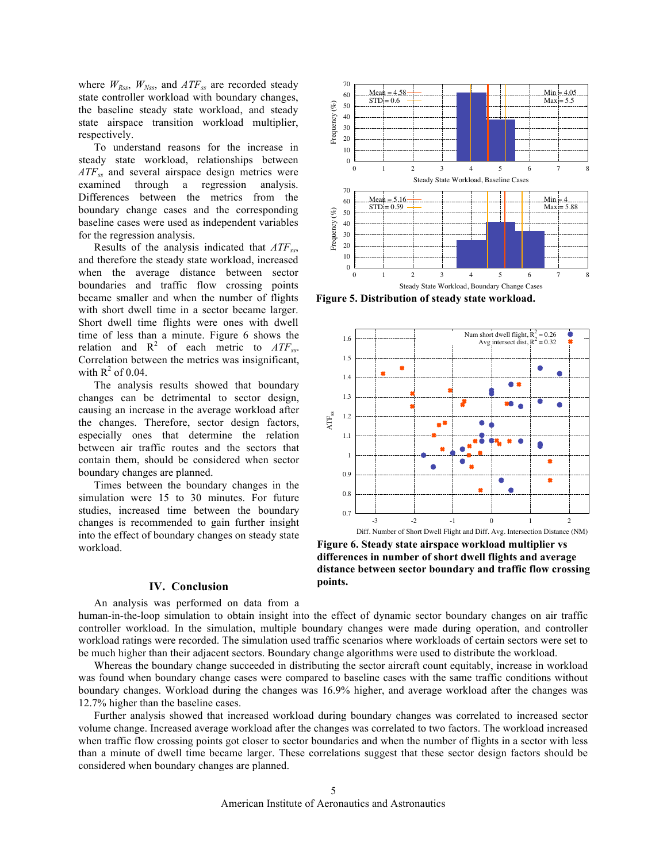where  $W_{Rss}$ ,  $W_{Nss}$ , and  $ATF_{ss}$  are recorded steady state controller workload with boundary changes, the baseline steady state workload, and steady state airspace transition workload multiplier, respectively.

To understand reasons for the increase in steady state workload, relationships between *ATFss* and several airspace design metrics were examined through a regression analysis. Differences between the metrics from the boundary change cases and the corresponding baseline cases were used as independent variables for the regression analysis.

Results of the analysis indicated that *ATFss*, and therefore the steady state workload, increased when the average distance between sector boundaries and traffic flow crossing points became smaller and when the number of flights with short dwell time in a sector became larger. Short dwell time flights were ones with dwell time of less than a minute. Figure 6 shows the relation and  $R^2$  of each metric to  $ATF_{ss}$ . Correlation between the metrics was insignificant, with  $R^2$  of 0.04.

The analysis results showed that boundary changes can be detrimental to sector design, causing an increase in the average workload after the changes. Therefore, sector design factors, especially ones that determine the relation between air traffic routes and the sectors that contain them, should be considered when sector boundary changes are planned.

Times between the boundary changes in the simulation were 15 to 30 minutes. For future studies, increased time between the boundary changes is recommended to gain further insight into the effect of boundary changes on steady state workload.

#### 70  $Mean = 4.58$  $Min = 4.05$ 60  $STD = 0.6$  $Max = 5.5$  $(\%)$ Frequency (%) 50 40 Frequency 30 20 10 0 0 1 2 3 4 5 6 7 8 Steady State Workload, Baseline Cases 70  $Min = 4$  $Mean = 5.16$ 60  $STD = 0.59$  $Max = 5.88$ 50 Frequency (%) Frequency  $(\%)$ 40 30 20 10  $\theta$ 0 1 2 3 4 5 6 7 8 Steady State Workload, Boundary Change Cases

**Figure 5. Distribution of steady state workload.**



**Figure 6. Steady state airspace workload multiplier vs differences in number of short dwell flights and average distance between sector boundary and traffic flow crossing points.**

# **IV. Conclusion**

An analysis was performed on data from a human-in-the-loop simulation to obtain insight into the effect of dynamic sector boundary changes on air traffic controller workload. In the simulation, multiple boundary changes were made during operation, and controller workload ratings were recorded. The simulation used traffic scenarios where workloads of certain sectors were set to be much higher than their adjacent sectors. Boundary change algorithms were used to distribute the workload.

Whereas the boundary change succeeded in distributing the sector aircraft count equitably, increase in workload was found when boundary change cases were compared to baseline cases with the same traffic conditions without boundary changes. Workload during the changes was 16.9% higher, and average workload after the changes was 12.7% higher than the baseline cases.

Further analysis showed that increased workload during boundary changes was correlated to increased sector volume change. Increased average workload after the changes was correlated to two factors. The workload increased when traffic flow crossing points got closer to sector boundaries and when the number of flights in a sector with less than a minute of dwell time became larger. These correlations suggest that these sector design factors should be considered when boundary changes are planned.